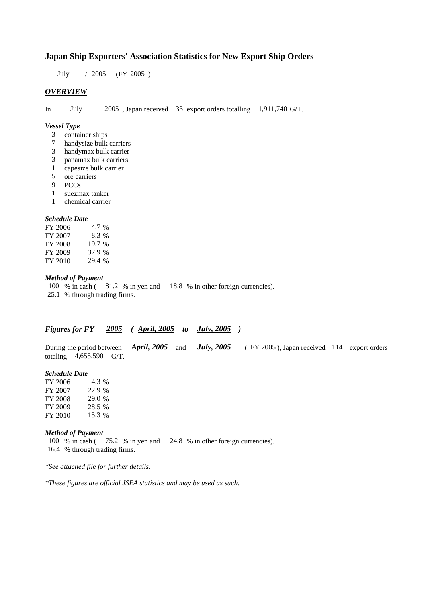### **Japan Ship Exporters' Association Statistics for New Export Ship Orders**

July / 2005 (FY 2005 )

#### *OVERVIEW*

In July 2005 , Japan received 33 export orders totalling 1,911,740 G/T.

#### *Vessel Type*

- 3 container ships
- 7 handysize bulk carriers
- 3 handymax bulk carrier
- 3 panamax bulk carriers
- 1 capesize bulk carrier
- 5 ore carriers
- 9 PCCs
- 1 suezmax tanker
- 1 chemical carrier

### *Schedule Date*

| FY 2006 | 4.7 %  |
|---------|--------|
| FY 2007 | 8.3 %  |
| FY 2008 | 19.7 % |
| FY 2009 | 37.9 % |
| FY 2010 | 29.4 % |
|         |        |

### *Method of Payment*

100 % in cash ( 81.2 % in yen and 18.8 % in other foreign currencies).

25.1 % through trading firms.

### *Figures for FY 2005 ( April, 2005 to July, 2005 )*

During the period between *April, 2005* and *July, 2005* ( FY 2005 ), Japan received 114 export orders totaling 4,655,590 G/T.

#### *Schedule Date*

| FY 2006 | 4.3 %  |
|---------|--------|
| FY 2007 | 22.9 % |
| FY 2008 | 29.0 % |
| FY 2009 | 28.5 % |
| FY 2010 | 15.3 % |

#### *Method of Payment*

100 % in cash ( 75.2 % in yen and 24.8 % in other foreign currencies). 16.4 % through trading firms.

*\*See attached file for further details.*

*\*These figures are official JSEA statistics and may be used as such.*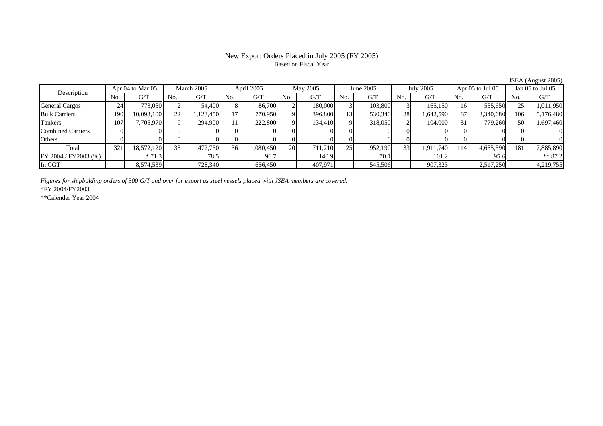# Based on Fiscal Year

Description Apr 04 to Mar 05 March 2005 April 2005 May 2005 July 2005 July 2005 Apr 05 to Jul 05 Jan 05 to Jul 05<br>No. 1 G/T No. 1 G/T No. 1 G/T No. 1 G/T No. 1 G/T No. 1 G/T No. 1 G/T No. 1 G/T No. 1 G/T No. 1 G/T No.  $G/T$ T || No. | G/T || No. | G/T || No. | G/T || No. | G/T || G/T || No. | G/T || No. | G/T || No. | G/T General Cargos | 24 | 773,050 || 2 | 54,400 | 8 | 86,700 | 2 | 180,000 | 3 | 103,800 | 3 | 165,150 | 16 | 535,650 || 25 | 1,011,950 Bulk Carriers 1900| 10,093,100|| 22| 1,123,450| 17| 770,950| 9| 396,800| 13| 530,340| 28| 1,642,590| 67| 3,340,680|| 106| 5,176,480 Tankers 1077| 7,705,970|| 9| 294,900| 11| 222,800| 9| 134,410| 9| 318,050| 2| 104,000| 31| 779,260|| 50| 1,697,460 Combined Carriers 1 0 0 0 0 0 0 0 0 0 0 0 0 0 0 0 0 **Others** s and  $\vert 0$  0 0 0 0 0 0 0 0 0 0 0 0 0 0 0 Total 321 18,572,120 33 1,472,750 36 1,080,450 20 711,210 25 952,190 33 1,911,740 114 4,655,590 181 7,885,890 FY 2004 / FY 2003 (%) \* 71.3 78.5 78.5 96.7 140.9 70.1 140.9 101.2 95.6 \* 87.2 In CGT8,574,539 728,340 656,450 407,971 545,506 907,323 2,517,250 4,219,755

*Figures for shipbulding orders of 500 G/T and over for export as steel vessels placed with JSEA members are covered.*

\*FY 2004/FY2003

\*\*Calender Year 2004

JSEA (August 2005)

# New Export Orders Placed in July 2005 (FY 2005)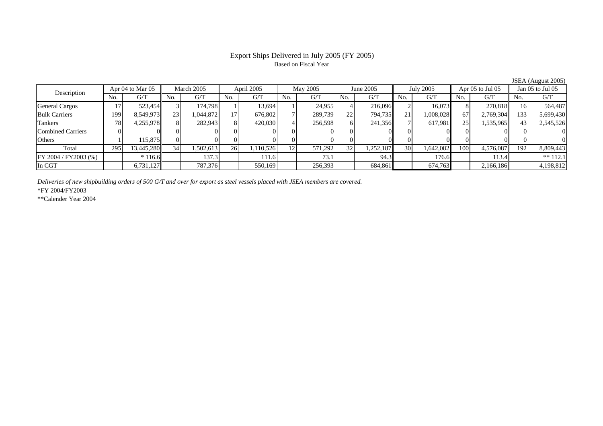# Based on Fiscal Year

Description Apr 04 to Mar 05 March 2005 April 2005 May 2005 July 2005 July 2005 Apr 05 to Jul 05 Jan 05 to Jul 05<br>No. 1 G/T No. 1 G/T No. 1 G/T No. 1 G/T No. 1 G/T No. 1 G/T No. 1 G/T No. 1 G/T No. 1 G/T No. 1 G/T No.  $G/T$ T || No. | G/T || No. | G/T || No. | G/T || No. | G/T || G/T || No. | G/T || No. | G/T || No. | G/T General Cargos († 17 523,454 3 174,798 1 13,694 1 24,955 4 216,096 2 16,073 8 270,818 16 564,487 Bulk Carriers 1999| 8,549,973|| 23| 1,044,872| 17| 676,802| 7| 289,739| 22| 794,735| 21| 1,008,028| 67| 2,769,304|| 133| 5,699,430 Tankers 788| 4,255,978|| 8| 282,943| 8| 420,030| 4| 256,598| 6| 241,356| 7| 617,981| 25| 1,535,965|| 43| 2,545,526 Combined Carriers 0 0 0 0 0 0 0 0 0 0 0 0 0 0 0 0 **Others** s and  $1$  115,875 0 0 0 0 0 0 0 0 0 0 0 0 0 0 Total 2955| 13,445,280|| 34| 1,502,613| 26| 1,110,526| 12| 571,292| 32| 1,252,187| 30| 1,642,082| 100| 4,576,087|| 192| 8,809,443 FY 2004 / FY2003 (%) \* 116.6 137.3 111.6 73.1 94.3 176.6 113.4 \*\* 112.1 In CGT1 | 6,731,127 | 787,376 | 550,169 | 256,393 | 684,861 | 674,763 | 2,166,186 | 4,198,812

*Deliveries of new shipbuilding orders of 500 G/T and over for export as steel vessels placed with JSEA members are covered.*

\*FY 2004/FY2003

\*\*Calender Year 2004

JSEA (August 2005)

# Export Ships Delivered in July 2005 (FY 2005)